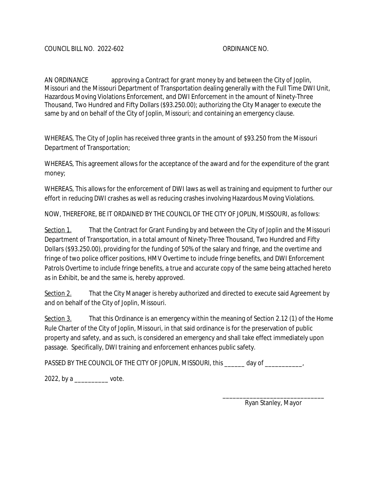AN ORDINANCE approving a Contract for grant money by and between the City of Joplin, Missouri and the Missouri Department of Transportation dealing generally with the Full Time DWI Unit, Hazardous Moving Violations Enforcement, and DWI Enforcement in the amount of Ninety-Three Thousand, Two Hundred and Fifty Dollars (\$93.250.00); authorizing the City Manager to execute the same by and on behalf of the City of Joplin, Missouri; and containing an emergency clause.

WHEREAS, The City of Joplin has received three grants in the amount of \$93.250 from the Missouri Department of Transportation;

WHEREAS, This agreement allows for the acceptance of the award and for the expenditure of the grant money;

WHEREAS, This allows for the enforcement of DWI laws as well as training and equipment to further our effort in reducing DWI crashes as well as reducing crashes involving Hazardous Moving Violations.

NOW, THEREFORE, BE IT ORDAINED BY THE COUNCIL OF THE CITY OF JOPLIN, MISSOURI, as follows:

Section 1. That the Contract for Grant Funding by and between the City of Joplin and the Missouri Department of Transportation, in a total amount of Ninety-Three Thousand, Two Hundred and Fifty Dollars (\$93.250.00), providing for the funding of 50% of the salary and fringe, and the overtime and fringe of two police officer positions, HMV Overtime to include fringe benefits, and DWI Enforcement Patrols Overtime to include fringe benefits, a true and accurate copy of the same being attached hereto as in Exhibit, be and the same is, hereby approved.

Section 2. That the City Manager is hereby authorized and directed to execute said Agreement by and on behalf of the City of Joplin, Missouri.

Section 3. That this Ordinance is an emergency within the meaning of Section 2.12 (1) of the Home Rule Charter of the City of Joplin, Missouri, in that said ordinance is for the preservation of public property and safety, and as such, is considered an emergency and shall take effect immediately upon passage. Specifically, DWI training and enforcement enhances public safety.

PASSED BY THE COUNCIL OF THE CITY OF JOPLIN, MISSOURI, this \_\_\_\_\_\_ day of \_\_\_\_\_\_\_\_\_\_,

2022, by a \_\_\_\_\_\_\_\_\_\_ vote.

\_\_\_\_\_\_\_\_\_\_\_\_\_\_\_\_\_\_\_\_\_\_\_\_\_\_\_\_\_\_ Ryan Stanley, Mayor